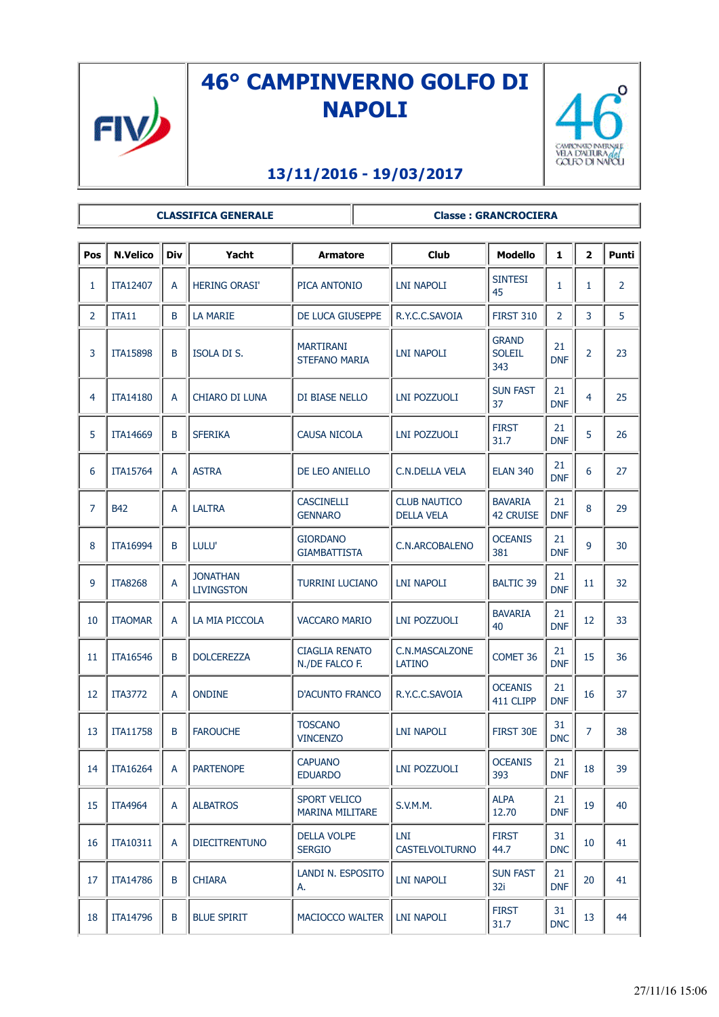

## **46° CAMPINVERNO GOLFO DI NAPOLI**



## **13/11/2016 - 19/03/2017**

## **CLASSIFICA GENERALE Classe : GRANCROCIERA**

| Pos            | <b>N.Velico</b> | <b>Div</b> | Yacht                                | <b>Armatore</b>                               | <b>Club</b>                              | <b>Modello</b>                       | $\mathbf{1}$     | $\overline{\mathbf{2}}$ | Punti          |
|----------------|-----------------|------------|--------------------------------------|-----------------------------------------------|------------------------------------------|--------------------------------------|------------------|-------------------------|----------------|
| 1              | ITA12407        | A          | <b>HERING ORASI'</b>                 | PICA ANTONIO                                  | LNI NAPOLI                               | <b>SINTESI</b><br>45                 | $\mathbf{1}$     | 1                       | $\overline{2}$ |
| $\overline{2}$ | ITA11           | B          | <b>LA MARIE</b>                      | DE LUCA GIUSEPPE                              | R.Y.C.C.SAVOIA                           | <b>FIRST 310</b>                     | $\overline{2}$   | 3                       | 5              |
| 3              | <b>ITA15898</b> | B          | ISOLA DI S.                          | <b>MARTIRANI</b><br><b>STEFANO MARIA</b>      | <b>LNI NAPOLI</b>                        | <b>GRAND</b><br><b>SOLEIL</b><br>343 | 21<br><b>DNF</b> | $\overline{2}$          | 23             |
| 4              | <b>ITA14180</b> | A          | CHIARO DI LUNA                       | DI BIASE NELLO                                | <b>LNI POZZUOLI</b>                      | <b>SUN FAST</b><br>37                | 21<br><b>DNF</b> | 4                       | 25             |
| 5              | <b>ITA14669</b> | B          | <b>SFERIKA</b>                       | CAUSA NICOLA                                  | LNI POZZUOLI                             | <b>FIRST</b><br>31.7                 | 21<br><b>DNF</b> | 5                       | 26             |
| 6              | <b>ITA15764</b> | A          | <b>ASTRA</b>                         | DE LEO ANIELLO                                | <b>C.N.DELLA VELA</b>                    | <b>ELAN 340</b>                      | 21<br><b>DNF</b> | 6                       | 27             |
| 7              | <b>B42</b>      | A          | <b>LALTRA</b>                        | <b>CASCINELLI</b><br><b>GENNARO</b>           | <b>CLUB NAUTICO</b><br><b>DELLA VELA</b> | <b>BAVARIA</b><br><b>42 CRUISE</b>   | 21<br><b>DNF</b> | 8                       | 29             |
| 8              | <b>ITA16994</b> | B          | LULU'                                | <b>GIORDANO</b><br><b>GIAMBATTISTA</b>        | C.N.ARCOBALENO                           | <b>OCEANIS</b><br>381                | 21<br><b>DNF</b> | 9                       | 30             |
| 9              | <b>ITA8268</b>  | A          | <b>JONATHAN</b><br><b>LIVINGSTON</b> | <b>TURRINI LUCIANO</b>                        | <b>LNI NAPOLI</b>                        | <b>BALTIC 39</b>                     | 21<br><b>DNF</b> | 11                      | 32             |
| 10             | <b>ITAOMAR</b>  | A          | LA MIA PICCOLA                       | <b>VACCARO MARIO</b>                          | LNI POZZUOLI                             | <b>BAVARIA</b><br>40                 | 21<br><b>DNF</b> | 12                      | 33             |
| 11             | <b>ITA16546</b> | B          | <b>DOLCEREZZA</b>                    | <b>CIAGLIA RENATO</b><br>N./DE FALCO F.       | C.N.MASCALZONE<br><b>LATINO</b>          | COMET 36                             | 21<br><b>DNF</b> | 15                      | 36             |
| 12             | <b>ITA3772</b>  | A          | <b>ONDINE</b>                        | <b>D'ACUNTO FRANCO</b>                        | R.Y.C.C.SAVOIA                           | <b>OCEANIS</b><br>411 CLIPP          | 21<br><b>DNF</b> | 16                      | 37             |
| 13             | <b>ITA11758</b> | B          | <b>FAROUCHE</b>                      | <b>TOSCANO</b><br><b>VINCENZO</b>             | <b>LNI NAPOLI</b>                        | FIRST 30E                            | 31<br><b>DNC</b> | 7                       | 38             |
| 14             | <b>ITA16264</b> | A          | <b>PARTENOPE</b>                     | <b>CAPUANO</b><br><b>EDUARDO</b>              | <b>LNI POZZUOLI</b>                      | <b>OCEANIS</b><br>393                | 21<br><b>DNF</b> | 18                      | 39             |
| 15             | <b>ITA4964</b>  | A          | <b>ALBATROS</b>                      | <b>SPORT VELICO</b><br><b>MARINA MILITARE</b> | <b>S.V.M.M.</b>                          | <b>ALPA</b><br>12.70                 | 21<br><b>DNF</b> | 19                      | 40             |
| 16             | <b>ITA10311</b> | A          | <b>DIECITRENTUNO</b>                 | <b>DELLA VOLPE</b><br><b>SERGIO</b>           | LNI<br><b>CASTELVOLTURNO</b>             | <b>FIRST</b><br>44.7                 | 31<br><b>DNC</b> | 10                      | 41             |
| 17             | <b>ITA14786</b> | B          | <b>CHIARA</b>                        | LANDI N. ESPOSITO<br>А.                       | <b>LNI NAPOLI</b>                        | <b>SUN FAST</b><br>32i               | 21<br><b>DNF</b> | 20                      | 41             |
| 18             | ITA14796        | B          | <b>BLUE SPIRIT</b>                   | MACIOCCO WALTER                               | LNI NAPOLI                               | <b>FIRST</b><br>31.7                 | 31<br><b>DNC</b> | 13                      | 44             |